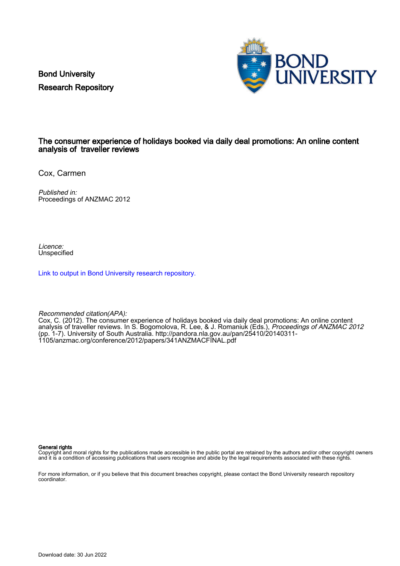Bond University Research Repository



#### The consumer experience of holidays booked via daily deal promotions: An online content analysis of traveller reviews

Cox, Carmen

Published in: Proceedings of ANZMAC 2012

Licence: Unspecified

[Link to output in Bond University research repository.](https://research.bond.edu.au/en/publications/739cc829-12ea-4bf5-9bc4-92464af04b8d)

Recommended citation(APA):

Cox, C. (2012). The consumer experience of holidays booked via daily deal promotions: An online content analysis of traveller reviews. In S. Bogomolova, R. Lee, & J. Romaniuk (Eds.), Proceedings of ANZMAC 2012 (pp. 1-7). University of South Australia. [http://pandora.nla.gov.au/pan/25410/20140311-](http://pandora.nla.gov.au/pan/25410/20140311-1105/anzmac.org/conference/2012/papers/341ANZMACFINAL.pdf) [1105/anzmac.org/conference/2012/papers/341ANZMACFINAL.pdf](http://pandora.nla.gov.au/pan/25410/20140311-1105/anzmac.org/conference/2012/papers/341ANZMACFINAL.pdf)

General rights

Copyright and moral rights for the publications made accessible in the public portal are retained by the authors and/or other copyright owners and it is a condition of accessing publications that users recognise and abide by the legal requirements associated with these rights.

For more information, or if you believe that this document breaches copyright, please contact the Bond University research repository coordinator.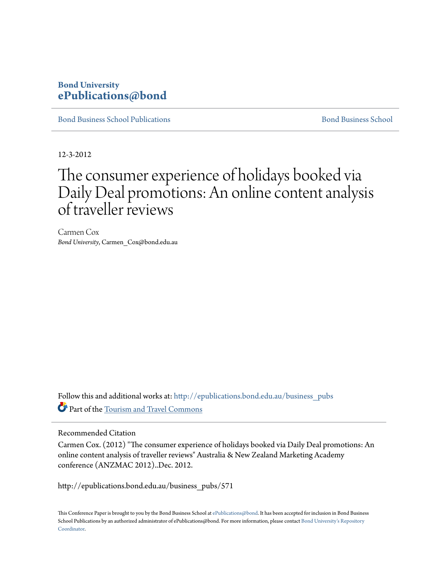# **Bond University [ePublications@bond](http://epublications.bond.edu.au?utm_source=epublications.bond.edu.au%2Fbusiness_pubs%2F571&utm_medium=PDF&utm_campaign=PDFCoverPages)**

[Bond Business School Publications](http://epublications.bond.edu.au/business_pubs?utm_source=epublications.bond.edu.au%2Fbusiness_pubs%2F571&utm_medium=PDF&utm_campaign=PDFCoverPages) and Business School Business School Business School Business School Business School

12-3-2012

# The consumer experience of holidays booked via Daily Deal promotions: An online content analysis of traveller reviews

Carmen Cox *Bond University*, Carmen\_Cox@bond.edu.au

Follow this and additional works at: [http://epublications.bond.edu.au/business\\_pubs](http://epublications.bond.edu.au/business_pubs?utm_source=epublications.bond.edu.au%2Fbusiness_pubs%2F571&utm_medium=PDF&utm_campaign=PDFCoverPages) Part of the [Tourism and Travel Commons](http://network.bepress.com/hgg/discipline/1082?utm_source=epublications.bond.edu.au%2Fbusiness_pubs%2F571&utm_medium=PDF&utm_campaign=PDFCoverPages)

# Recommended Citation

Carmen Cox. (2012) "The consumer experience of holidays booked via Daily Deal promotions: An online content analysis of traveller reviews" Australia & New Zealand Marketing Academy conference (ANZMAC 2012)..Dec. 2012.

http://epublications.bond.edu.au/business\_pubs/571

This Conference Paper is brought to you by the Bond Business School at [ePublications@bond](http://epublications.bond.edu.au). It has been accepted for inclusion in Bond Business School Publications by an authorized administrator of ePublications@bond. For more information, please contact [Bond University's Repository](mailto:acass@bond.edu.au) [Coordinator](mailto:acass@bond.edu.au).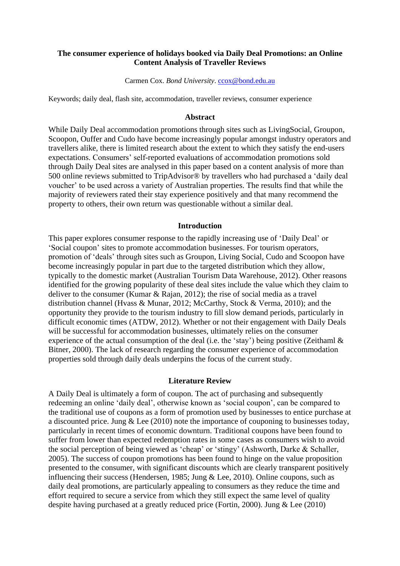## **The consumer experience of holidays booked via Daily Deal Promotions: an Online Content Analysis of Traveller Reviews**

#### Carmen Cox. *Bond University*. [ccox@bond.edu.au](mailto:ccox@bond.edu.au)

Keywords; daily deal, flash site, accommodation, traveller reviews, consumer experience

#### **Abstract**

While Daily Deal accommodation promotions through sites such as LivingSocial, Groupon, Scoopon, Ouffer and Cudo have become increasingly popular amongst industry operators and travellers alike, there is limited research about the extent to which they satisfy the end-users expectations. Consumers" self-reported evaluations of accommodation promotions sold through Daily Deal sites are analysed in this paper based on a content analysis of more than 500 online reviews submitted to TripAdvisor® by travellers who had purchased a "daily deal voucher" to be used across a variety of Australian properties. The results find that while the majority of reviewers rated their stay experience positively and that many recommend the property to others, their own return was questionable without a similar deal.

#### **Introduction**

This paper explores consumer response to the rapidly increasing use of "Daily Deal" or "Social coupon" sites to promote accommodation businesses. For tourism operators, promotion of "deals" through sites such as Groupon, Living Social, Cudo and Scoopon have become increasingly popular in part due to the targeted distribution which they allow, typically to the domestic market (Australian Tourism Data Warehouse, 2012). Other reasons identified for the growing popularity of these deal sites include the value which they claim to deliver to the consumer (Kumar & Rajan, 2012); the rise of social media as a travel distribution channel (Hvass & Munar, 2012; McCarthy, Stock & Verma, 2010); and the opportunity they provide to the tourism industry to fill slow demand periods, particularly in difficult economic times (ATDW, 2012). Whether or not their engagement with Daily Deals will be successful for accommodation businesses, ultimately relies on the consumer experience of the actual consumption of the deal (i.e. the 'stay') being positive (Zeithaml  $\&$ Bitner, 2000). The lack of research regarding the consumer experience of accommodation properties sold through daily deals underpins the focus of the current study.

#### **Literature Review**

A Daily Deal is ultimately a form of coupon. The act of purchasing and subsequently redeeming an online "daily deal", otherwise known as "social coupon", can be compared to the traditional use of coupons as a form of promotion used by businesses to entice purchase at a discounted price. Jung & Lee (2010) note the importance of couponing to businesses today, particularly in recent times of economic downturn. Traditional coupons have been found to suffer from lower than expected redemption rates in some cases as consumers wish to avoid the social perception of being viewed as "cheap" or "stingy" (Ashworth, Darke & Schaller, 2005). The success of coupon promotions has been found to hinge on the value proposition presented to the consumer, with significant discounts which are clearly transparent positively influencing their success (Hendersen, 1985; Jung & Lee, 2010). Online coupons, such as daily deal promotions, are particularly appealing to consumers as they reduce the time and effort required to secure a service from which they still expect the same level of quality despite having purchased at a greatly reduced price (Fortin, 2000). Jung & Lee (2010)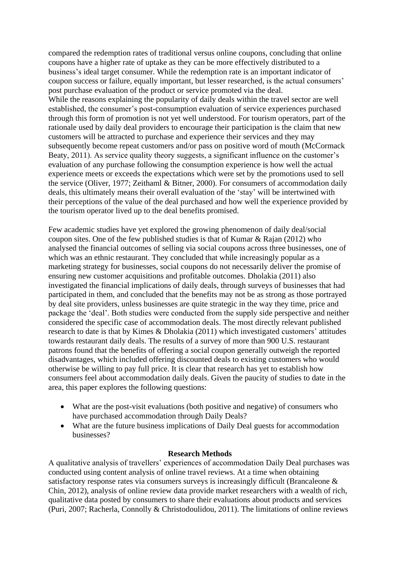compared the redemption rates of traditional versus online coupons, concluding that online coupons have a higher rate of uptake as they can be more effectively distributed to a business"s ideal target consumer. While the redemption rate is an important indicator of coupon success or failure, equally important, but lesser researched, is the actual consumers" post purchase evaluation of the product or service promoted via the deal. While the reasons explaining the popularity of daily deals within the travel sector are well established, the consumer"s post-consumption evaluation of service experiences purchased through this form of promotion is not yet well understood. For tourism operators, part of the rationale used by daily deal providers to encourage their participation is the claim that new customers will be attracted to purchase and experience their services and they may subsequently become repeat customers and/or pass on positive word of mouth (McCormack Beaty, 2011). As service quality theory suggests, a significant influence on the customer's evaluation of any purchase following the consumption experience is how well the actual experience meets or exceeds the expectations which were set by the promotions used to sell the service (Oliver, 1977; Zeithaml & Bitner, 2000). For consumers of accommodation daily deals, this ultimately means their overall evaluation of the "stay" will be intertwined with their perceptions of the value of the deal purchased and how well the experience provided by the tourism operator lived up to the deal benefits promised.

Few academic studies have yet explored the growing phenomenon of daily deal/social coupon sites. One of the few published studies is that of Kumar & Rajan (2012) who analysed the financial outcomes of selling via social coupons across three businesses, one of which was an ethnic restaurant. They concluded that while increasingly popular as a marketing strategy for businesses, social coupons do not necessarily deliver the promise of ensuring new customer acquisitions and profitable outcomes. Dholakia (2011) also investigated the financial implications of daily deals, through surveys of businesses that had participated in them, and concluded that the benefits may not be as strong as those portrayed by deal site providers, unless businesses are quite strategic in the way they time, price and package the "deal". Both studies were conducted from the supply side perspective and neither considered the specific case of accommodation deals. The most directly relevant published research to date is that by Kimes  $\&$  Dholakia (2011) which investigated customers' attitudes towards restaurant daily deals. The results of a survey of more than 900 U.S. restaurant patrons found that the benefits of offering a social coupon generally outweigh the reported disadvantages, which included offering discounted deals to existing customers who would otherwise be willing to pay full price. It is clear that research has yet to establish how consumers feel about accommodation daily deals. Given the paucity of studies to date in the area, this paper explores the following questions:

- What are the post-visit evaluations (both positive and negative) of consumers who have purchased accommodation through Daily Deals?
- What are the future business implications of Daily Deal guests for accommodation businesses?

# **Research Methods**

A qualitative analysis of travellers" experiences of accommodation Daily Deal purchases was conducted using content analysis of online travel reviews. At a time when obtaining satisfactory response rates via consumers surveys is increasingly difficult (Brancaleone & Chin, 2012), analysis of online review data provide market researchers with a wealth of rich, qualitative data posted by consumers to share their evaluations about products and services (Puri, 2007; Racherla, Connolly & Christodoulidou, 2011). The limitations of online reviews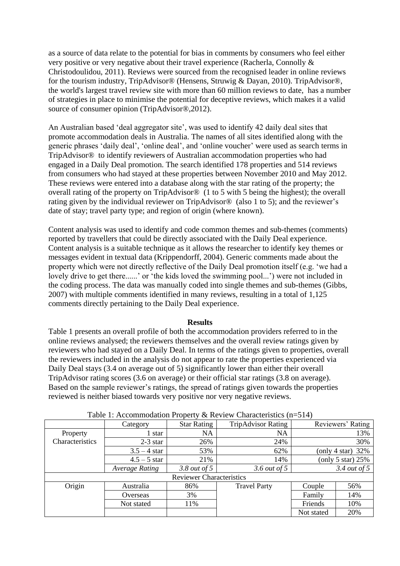as a source of data relate to the potential for bias in comments by consumers who feel either very positive or very negative about their travel experience (Racherla, Connolly & Christodoulidou, 2011). Reviews were sourced from the recognised leader in online reviews for the tourism industry, TripAdvisor® (Hensens, Struwig & Dayan, 2010). TripAdvisor®, the world's largest travel review site with more than 60 million reviews to date, has a number of strategies in place to minimise the potential for deceptive reviews, which makes it a valid source of consumer opinion (TripAdvisor®,2012).

An Australian based 'deal aggregator site', was used to identify 42 daily deal sites that promote accommodation deals in Australia. The names of all sites identified along with the generic phrases "daily deal", "online deal", and "online voucher" were used as search terms in TripAdvisor® to identify reviewers of Australian accommodation properties who had engaged in a Daily Deal promotion. The search identified 178 properties and 514 reviews from consumers who had stayed at these properties between November 2010 and May 2012. These reviews were entered into a database along with the star rating of the property; the overall rating of the property on TripAdvisor® (1 to 5 with 5 being the highest); the overall rating given by the individual reviewer on TripAdvisor<sup>®</sup> (also 1 to 5); and the reviewer's date of stay; travel party type; and region of origin (where known).

Content analysis was used to identify and code common themes and sub-themes (comments) reported by travellers that could be directly associated with the Daily Deal experience. Content analysis is a suitable technique as it allows the researcher to identify key themes or messages evident in textual data (Krippendorff, 2004). Generic comments made about the property which were not directly reflective of the Daily Deal promotion itself (e.g. "we had a lovely drive to get there......" or 'the kids loved the swimming pool...") were not included in the coding process. The data was manually coded into single themes and sub-themes (Gibbs, 2007) with multiple comments identified in many reviews, resulting in a total of 1,125 comments directly pertaining to the Daily Deal experience.

#### **Results**

Table 1 presents an overall profile of both the accommodation providers referred to in the online reviews analysed; the reviewers themselves and the overall review ratings given by reviewers who had stayed on a Daily Deal. In terms of the ratings given to properties, overall the reviewers included in the analysis do not appear to rate the properties experienced via Daily Deal stays (3.4 on average out of 5) significantly lower than either their overall TripAdvisor rating scores (3.6 on average) or their official star ratings (3.8 on average). Based on the sample reviewer's ratings, the spread of ratings given towards the properties reviewed is neither biased towards very positive nor very negative reviews.

|                                 | Category              | <b>Star Rating</b>  | <b>TripAdvisor Rating</b> |               | Reviewers' Rating   |  |  |
|---------------------------------|-----------------------|---------------------|---------------------------|---------------|---------------------|--|--|
| Property                        | star                  | <b>NA</b>           | NA                        |               | 13%                 |  |  |
| Characteristics                 | $2-3$ star            | 26%                 | 24%                       |               | 30%                 |  |  |
|                                 | $3.5 - 4$ star        | 53%                 | 62%                       | (only 4 star) | 32%                 |  |  |
|                                 | $4.5 - 5$ star        | 21%                 | 14%                       |               | (only 5 star) $25%$ |  |  |
|                                 | <b>Average Rating</b> | 3.8 <i>out of</i> 5 | 3.6 out of 5              |               | $3.4$ out of 5      |  |  |
| <b>Reviewer Characteristics</b> |                       |                     |                           |               |                     |  |  |
| Origin                          | Australia             | 86%                 | <b>Travel Party</b>       | Couple        | 56%                 |  |  |
|                                 | Overseas              | 3%                  |                           | Family        | 14%                 |  |  |
|                                 | Not stated            | 11%                 |                           | Friends       | 10%                 |  |  |
|                                 |                       |                     |                           | Not stated    | 20%                 |  |  |

Table 1: Accommodation Property & Review Characteristics (n=514)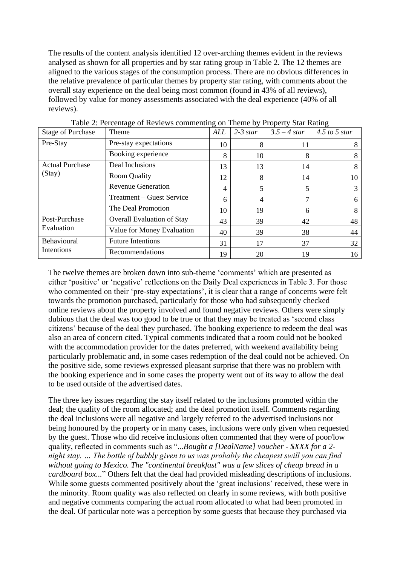The results of the content analysis identified 12 over-arching themes evident in the reviews analysed as shown for all properties and by star rating group in Table 2. The 12 themes are aligned to the various stages of the consumption process. There are no obvious differences in the relative prevalence of particular themes by property star rating, with comments about the overall stay experience on the deal being most common (found in 43% of all reviews), followed by value for money assessments associated with the deal experience (40% of all reviews).

| <b>Stage of Purchase</b>         | Theme                             | <b>ALL</b> | $2-3$ star | $3.5 - 4 star$ | $4.5$ to 5 star |
|----------------------------------|-----------------------------------|------------|------------|----------------|-----------------|
| Pre-Stay                         | Pre-stay expectations             | 10         | 8          | 11             | 8               |
|                                  | Booking experience                | 8          | 10         | 8              | 8               |
| <b>Actual Purchase</b><br>(Stay) | Deal Inclusions                   | 13         | 13         | 14             | 8               |
|                                  | <b>Room Quality</b>               | 12         | 8          | 14             | 10              |
|                                  | <b>Revenue Generation</b>         | 4          |            | 5              | 3               |
|                                  | Treatment – Guest Service         | 6          | 4          | 7              | 6               |
|                                  | The Deal Promotion                | 10         | 19         | 6              | 8               |
| Post-Purchase<br>Evaluation      | <b>Overall Evaluation of Stay</b> | 43         | 39         | 42             | 48              |
|                                  | Value for Money Evaluation        | 40         | 39         | 38             | 44              |
| Behavioural<br>Intentions        | <b>Future Intentions</b>          | 31         | 17         | 37             | 32              |
|                                  | Recommendations                   | 19         | 20         | 19             | 16              |

Table 2: Percentage of Reviews commenting on Theme by Property Star Rating

The twelve themes are broken down into sub-theme 'comments' which are presented as either 'positive' or 'negative' reflections on the Daily Deal experiences in Table 3. For those who commented on their 'pre-stay expectations', it is clear that a range of concerns were felt towards the promotion purchased, particularly for those who had subsequently checked online reviews about the property involved and found negative reviews. Others were simply dubious that the deal was too good to be true or that they may be treated as "second class citizens" because of the deal they purchased. The booking experience to redeem the deal was also an area of concern cited. Typical comments indicated that a room could not be booked with the accommodation provider for the dates preferred, with weekend availability being particularly problematic and, in some cases redemption of the deal could not be achieved. On the positive side, some reviews expressed pleasant surprise that there was no problem with the booking experience and in some cases the property went out of its way to allow the deal to be used outside of the advertised dates.

The three key issues regarding the stay itself related to the inclusions promoted within the deal; the quality of the room allocated; and the deal promotion itself. Comments regarding the deal inclusions were all negative and largely referred to the advertised inclusions not being honoured by the property or in many cases, inclusions were only given when requested by the guest. Those who did receive inclusions often commented that they were of poor/low quality, reflected in comments such as "...*Bought a [DealName] voucher - \$XXX for a 2 night stay. … The bottle of bubbly given to us was probably the cheapest swill you can find without going to Mexico. The "continental breakfast" was a few slices of cheap bread in a cardboard box...*" Others felt that the deal had provided misleading descriptions of inclusions. While some guests commented positively about the 'great inclusions' received, these were in the minority. Room quality was also reflected on clearly in some reviews, with both positive and negative comments comparing the actual room allocated to what had been promoted in the deal. Of particular note was a perception by some guests that because they purchased via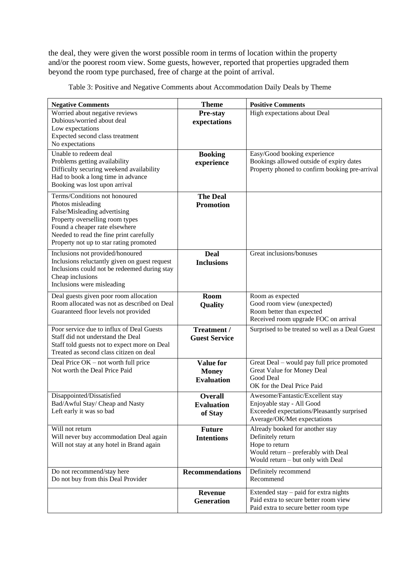the deal, they were given the worst possible room in terms of location within the property and/or the poorest room view. Some guests, however, reported that properties upgraded them beyond the room type purchased, free of charge at the point of arrival.

| <b>Negative Comments</b>                                                                | <b>Theme</b>                        | <b>Positive Comments</b>                                                 |  |  |
|-----------------------------------------------------------------------------------------|-------------------------------------|--------------------------------------------------------------------------|--|--|
| Worried about negative reviews                                                          | Pre-stay                            | High expectations about Deal                                             |  |  |
| Dubious/worried about deal                                                              | expectations                        |                                                                          |  |  |
| Low expectations<br>Expected second class treatment                                     |                                     |                                                                          |  |  |
| No expectations                                                                         |                                     |                                                                          |  |  |
| Unable to redeem deal                                                                   | <b>Booking</b>                      | Easy/Good booking experience                                             |  |  |
| Problems getting availability                                                           | experience                          | Bookings allowed outside of expiry dates                                 |  |  |
| Difficulty securing weekend availability                                                |                                     | Property phoned to confirm booking pre-arrival                           |  |  |
| Had to book a long time in advance<br>Booking was lost upon arrival                     |                                     |                                                                          |  |  |
| Terms/Conditions not honoured                                                           |                                     |                                                                          |  |  |
| Photos misleading                                                                       | <b>The Deal</b><br><b>Promotion</b> |                                                                          |  |  |
| False/Misleading advertising                                                            |                                     |                                                                          |  |  |
| Property overselling room types                                                         |                                     |                                                                          |  |  |
| Found a cheaper rate elsewhere                                                          |                                     |                                                                          |  |  |
| Needed to read the fine print carefully<br>Property not up to star rating promoted      |                                     |                                                                          |  |  |
| Inclusions not provided/honoured                                                        | Deal                                | Great inclusions/bonuses                                                 |  |  |
| Inclusions reluctantly given on guest request                                           | <b>Inclusions</b>                   |                                                                          |  |  |
| Inclusions could not be redeemed during stay                                            |                                     |                                                                          |  |  |
| Cheap inclusions                                                                        |                                     |                                                                          |  |  |
| Inclusions were misleading                                                              |                                     |                                                                          |  |  |
| Deal guests given poor room allocation<br>Room allocated was not as described on Deal   | <b>Room</b>                         | Room as expected                                                         |  |  |
| Guaranteed floor levels not provided                                                    | Quality                             | Good room view (unexpected)<br>Room better than expected                 |  |  |
|                                                                                         |                                     | Received room upgrade FOC on arrival                                     |  |  |
| Poor service due to influx of Deal Guests                                               | Treatment /                         | Surprised to be treated so well as a Deal Guest                          |  |  |
| Staff did not understand the Deal                                                       | <b>Guest Service</b>                |                                                                          |  |  |
| Staff told guests not to expect more on Deal<br>Treated as second class citizen on deal |                                     |                                                                          |  |  |
| Deal Price OK - not worth full price                                                    | <b>Value for</b>                    | Great Deal - would pay full price promoted                               |  |  |
| Not worth the Deal Price Paid                                                           | <b>Money</b>                        | Great Value for Money Deal                                               |  |  |
|                                                                                         | <b>Evaluation</b>                   | Good Deal                                                                |  |  |
|                                                                                         |                                     | OK for the Deal Price Paid                                               |  |  |
| Disappointed/Dissatisfied                                                               | <b>Overall</b>                      | Awesome/Fantastic/Excellent stay                                         |  |  |
| Bad/Awful Stay/ Cheap and Nasty<br>Left early it was so bad                             | <b>Evaluation</b>                   | Enjoyable stay - All Good<br>Exceeded expectations/Pleasantly surprised  |  |  |
|                                                                                         | of Stay                             | Average/OK/Met expectations                                              |  |  |
| Will not return                                                                         | <b>Future</b>                       | Already booked for another stay                                          |  |  |
| Will never buy accommodation Deal again                                                 | <b>Intentions</b>                   | Definitely return                                                        |  |  |
| Will not stay at any hotel in Brand again                                               |                                     | Hope to return                                                           |  |  |
|                                                                                         |                                     | Would return - preferably with Deal<br>Would return - but only with Deal |  |  |
| Do not recommend/stay here                                                              | <b>Recommendations</b>              | Definitely recommend                                                     |  |  |
| Do not buy from this Deal Provider                                                      |                                     | Recommend                                                                |  |  |
|                                                                                         | <b>Revenue</b>                      | Extended stay – paid for extra nights                                    |  |  |
|                                                                                         | <b>Generation</b>                   | Paid extra to secure better room view                                    |  |  |
|                                                                                         |                                     | Paid extra to secure better room type                                    |  |  |

Table 3: Positive and Negative Comments about Accommodation Daily Deals by Theme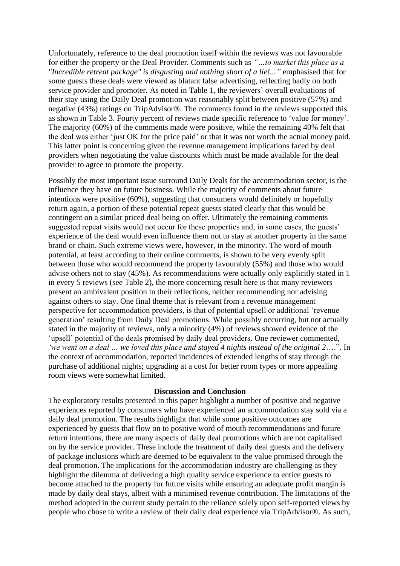Unfortunately, reference to the deal promotion itself within the reviews was not favourable for either the property or the Deal Provider. Comments such as *"…to market this place as a "Incredible retreat package" is disgusting and nothing short of a lie!..."* emphasised that for some guests these deals were viewed as blatant false advertising, reflecting badly on both service provider and promoter. As noted in Table 1, the reviewers' overall evaluations of their stay using the Daily Deal promotion was reasonably split between positive (57%) and negative (43%) ratings on TripAdvisor®. The comments found in the reviews supported this as shown in Table 3. Fourty percent of reviews made specific reference to "value for money". The majority (60%) of the comments made were positive, while the remaining 40% felt that the deal was either "just OK for the price paid" or that it was not worth the actual money paid. This latter point is concerning given the revenue management implications faced by deal providers when negotiating the value discounts which must be made available for the deal provider to agree to promote the property.

Possibly the most important issue surround Daily Deals for the accommodation sector, is the influence they have on future business. While the majority of comments about future intentions were positive (60%), suggesting that consumers would definitely or hopefully return again, a portion of these potential repeat guests stated clearly that this would be contingent on a similar priced deal being on offer. Ultimately the remaining comments suggested repeat visits would not occur for these properties and, in some cases, the guests' experience of the deal would even influence them not to stay at another property in the same brand or chain. Such extreme views were, however, in the minority. The word of mouth potential, at least according to their online comments, is shown to be very evenly split between those who would recommend the property favourably (55%) and those who would advise others not to stay (45%). As recommendations were actually only explicitly stated in 1 in every 5 reviews (see Table 2), the more concerning result here is that many reviewers present an ambivalent position in their reflections, neither recommending nor advising against others to stay. One final theme that is relevant from a revenue management perspective for accommodation providers, is that of potential upsell or additional "revenue generation" resulting from Daily Deal promotions. While possibly occurring, but not actually stated in the majority of reviews, only a minority (4%) of reviews showed evidence of the 'upsell' potential of the deals promised by daily deal providers. One reviewer commented, *"we went on a deal … we loved this place and stayed 4 nights instead of the original 2*….". In the context of accommodation, reported incidences of extended lengths of stay through the purchase of additional nights; upgrading at a cost for better room types or more appealing room views were somewhat limited.

#### **Discussion and Conclusion**

The exploratory results presented in this paper highlight a number of positive and negative experiences reported by consumers who have experienced an accommodation stay sold via a daily deal promotion. The results highlight that while some positive outcomes are experienced by guests that flow on to positive word of mouth recommendations and future return intentions, there are many aspects of daily deal promotions which are not capitalised on by the service provider. These include the treatment of daily deal guests and the delivery of package inclusions which are deemed to be equivalent to the value promised through the deal promotion. The implications for the accommodation industry are challenging as they highlight the dilemma of delivering a high quality service experience to entice guests to become attached to the property for future visits while ensuring an adequate profit margin is made by daily deal stays, albeit with a minimised revenue contribution. The limitations of the method adopted in the current study pertain to the reliance solely upon self-reported views by people who chose to write a review of their daily deal experience via TripAdvisor®. As such,